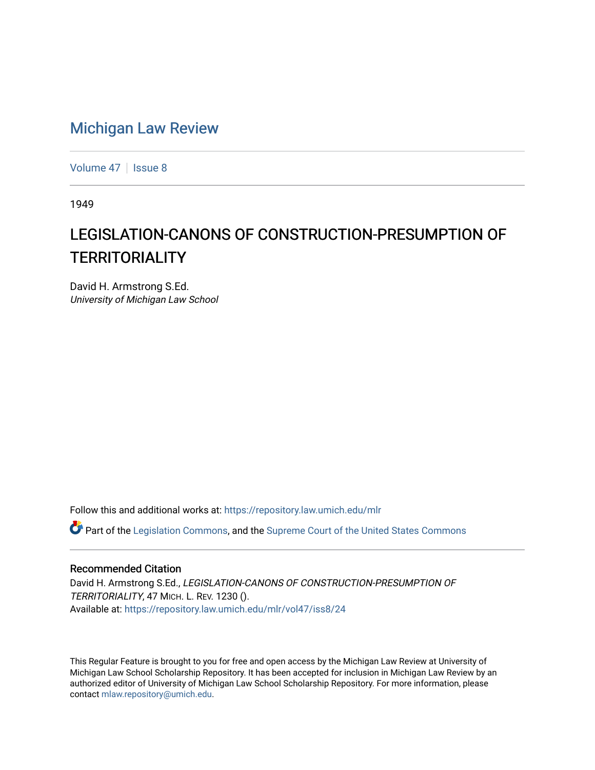## [Michigan Law Review](https://repository.law.umich.edu/mlr)

[Volume 47](https://repository.law.umich.edu/mlr/vol47) | [Issue 8](https://repository.law.umich.edu/mlr/vol47/iss8)

1949

## LEGISLATION-CANONS OF CONSTRUCTION-PRESUMPTION OF **TERRITORIALITY**

David H. Armstrong S.Ed. University of Michigan Law School

Follow this and additional works at: [https://repository.law.umich.edu/mlr](https://repository.law.umich.edu/mlr?utm_source=repository.law.umich.edu%2Fmlr%2Fvol47%2Fiss8%2F24&utm_medium=PDF&utm_campaign=PDFCoverPages) 

 $\bullet$  Part of the [Legislation Commons](http://network.bepress.com/hgg/discipline/859?utm_source=repository.law.umich.edu%2Fmlr%2Fvol47%2Fiss8%2F24&utm_medium=PDF&utm_campaign=PDFCoverPages), and the [Supreme Court of the United States Commons](http://network.bepress.com/hgg/discipline/1350?utm_source=repository.law.umich.edu%2Fmlr%2Fvol47%2Fiss8%2F24&utm_medium=PDF&utm_campaign=PDFCoverPages)

## Recommended Citation

David H. Armstrong S.Ed., LEGISLATION-CANONS OF CONSTRUCTION-PRESUMPTION OF TERRITORIALITY, 47 MICH. L. REV. 1230 (). Available at: [https://repository.law.umich.edu/mlr/vol47/iss8/24](https://repository.law.umich.edu/mlr/vol47/iss8/24?utm_source=repository.law.umich.edu%2Fmlr%2Fvol47%2Fiss8%2F24&utm_medium=PDF&utm_campaign=PDFCoverPages) 

This Regular Feature is brought to you for free and open access by the Michigan Law Review at University of Michigan Law School Scholarship Repository. It has been accepted for inclusion in Michigan Law Review by an authorized editor of University of Michigan Law School Scholarship Repository. For more information, please contact [mlaw.repository@umich.edu](mailto:mlaw.repository@umich.edu).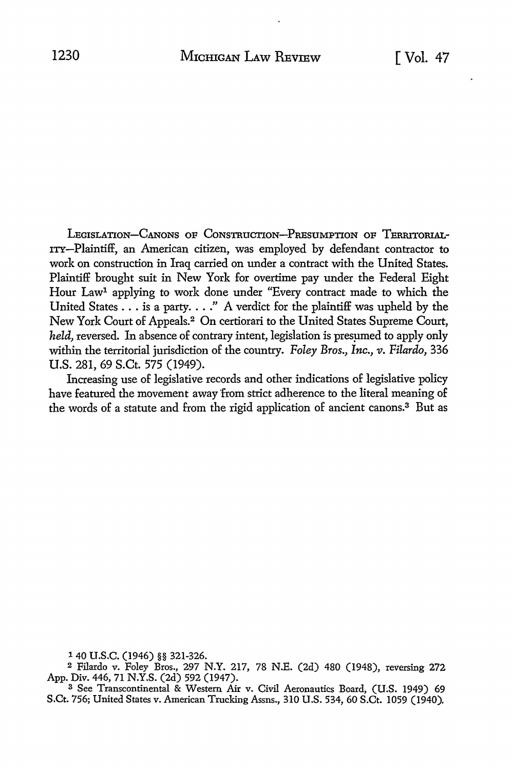LEGISLATION-CANONS OF CONSTRUCTION-PRESUMPTION OF TERRITORIAL-ITY-Plaintiff, an American citizen, was employed by defendant contractor to work on construction in Iraq carried on under a contract with the United States. Plaintiff brought suit in New York for overtime pay under the Federal Eight Hour Law1 applying to work done under "Every contract made to which the United States ... is a party .... " A verdict for the plaintiff was upheld by the New York Court of Appeals.2 On certiorari to the United States Supreme Court, *held*, reversed. In absence of contrary intent, legislation is presumed to apply only within the territorial jurisdiction of the country. *Foley Bros., Inc., v. Filardo,* 336 U.S. 281, 69 S.Ct. 575 (1949).

Increasing use of legislative records and other indications of legislative policy have featured the movement away from strict adherence to the literal meaning of the words of a statute and from the rigid application of ancient canons.3 But as

1 40 u.s.c. (1946) §§ 321-326.

<sup>2</sup>Filardo v. Foley Bros., 297 N.Y. 217, 78 N.E. (2d) 480 (1948), reversing 272 App. Div. 446, 71 N.Y.S. (2d) 592 (1947).

<sup>3</sup>See Transcontinental & Western Air v. Civil Aeronautics Board, (U;S. 1949) 69 S.Ct. 756; United States v. American Trucking Assns., 310 U.S. 534, 60 S.Ct. 1059 (1940).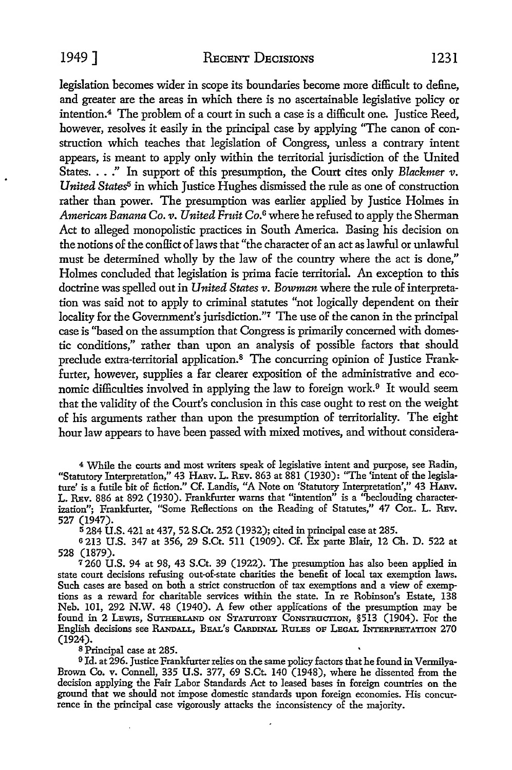legislation becomes wider in scope its boundaries become more difficult to define, and greater are the areas in which there is no ascertainable legislative policy or intention.<sup>4</sup>The problem of a court in such a case is a difficult one. Justice Reed, however, resolves it easily in the principal case by applying "The canon of construction which teaches that legislation of Congress, unless a contrary intent appears, is meant to apply only within the territorial jurisdiction of the United States. . . ." In support of this presumption, the Court cites only *Blackmer v*. *United States<sup>5</sup>* in which Justice Hughes dismissed the rule as one of construction rather than power. The presumption was earlier applied by Justice Holmes in *American Banana Co. v. United Fruit Co.* 6 where he refused to apply the Sherman Act to alleged monopolistic practices in South America. Basing his decision on the notions of the conllict of laws that "the character of an act as lawful or unlawful must be determined wholly by the law of the country where the act is done," Holmes concluded that legislation is prima facie territorial. An exception to this doctrine was spelled out in *United States v. Bowman* where the rule of interpretation was said not to apply to criminal statutes "not logically dependent on their locality for the Government's jurisdiction."7 The use of the canon in the principal case is "based on the assumption that Congress is primarily concerned with domestic conditions," rather than upon an analysis of possible factors that should preclude extra-territorial application.8 The concurring opinion of Justice Frankfurter, however, supplies a far clearer exposition of the administrative and economic difficulties involved in applying the law to foreign work.<sup>9</sup> It would seem that the validity of the Court's conclusion in this case ought to rest on the weight of his arguments rather than upon the presumption of territoriality. The eight hour law appears to have been passed with mixed motives, and without considera-

4 While the courts and most writers speak of legislative intent and purpose, see Radin, "Statutory Interpretation," 43 HARV. L. REv. 863 at 881 (1930): "The 'intent of the legislature' is a futile bit of fiction." Cf. Landis, "A Note on 'Statutory Interpretation'," 43 HARv. L. REv. 886 at 892 (1930). Frankfurter warns that "intention" is a "beclouding characterization"; Frankfurter, "Some Reflections on the Reading of Statutes," 47 CoL. L. REv. 527 (1947).

<sup>5</sup>284 U.S. 421 at 437, 52 S.Ct. 252 (1932); cited in principal case at 285.

s 213 U.S. 347 at 356, 29 S.Ct. 511 (1909). Cf. Ex parte Blair, 12 Ch. D. 522 at 528 (1879).

 $7260$  U.S. 94 at 98, 43 S.Ct. 39 (1922). The presumption has also been applied in state court decisions refusing out-of-state charities the benefit of local tax exemption laws. Such cases are based on both a strict construction of tax exemptions and a view of exemptions as a reward for charitable services within the state. In re Robinson's Estate, 138 Neb. 101, 292 N.W. 48 (1940). A few other applications of the presumption may be found in 2 LEWIS, SUTHERLAND ON STATUTORY CONSTRUCTION, §513 (1904). For the English decisions see RANDALL, BEAL'S CARDINAL RULES OF LEGAL INTERPRETATION 270 (1924).

s Principal case at 285.

9 Id. at 296. Justice Frankfurter relies on the same policy factors that he found in Vermilya-Brown Co. v. Connell, 335 **U.S.** 377, 69 S.Ct. 140 (1948), where he dissented from the decision applying the Fair Labor Standards Act to leased bases in foreign countries on the ground that we should not impose domestic standards upon foreign economies. His concurrence in the principal case vigorously attacks the inconsistency of the majority.